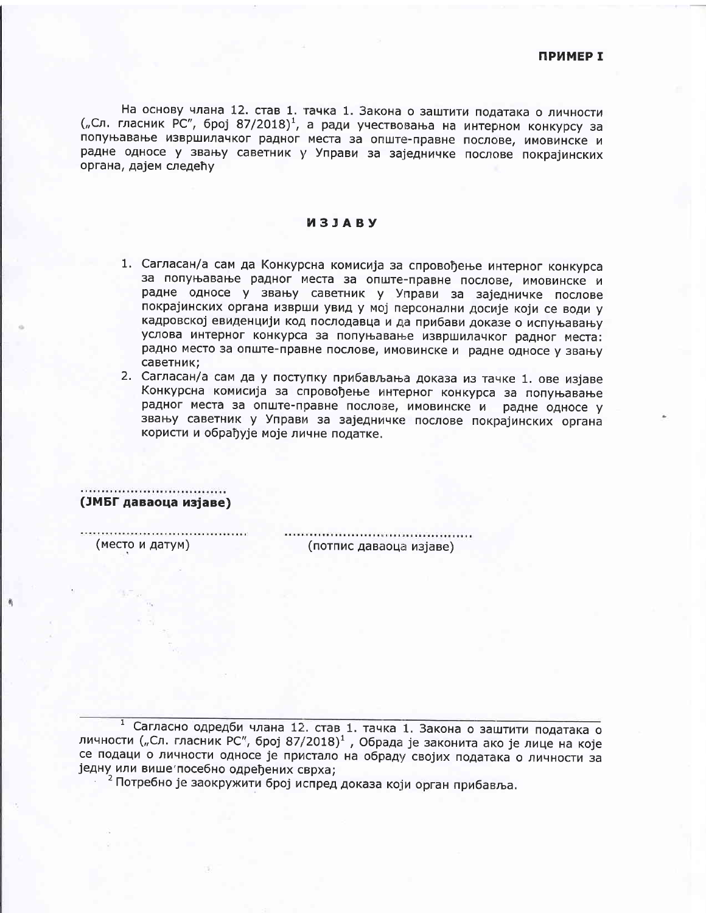На основу члана 12. став 1. тачка 1. Закона о заштити података о личности ("Сл. гласник РС", број 87/2018)<sup>1</sup>, а ради учествовања на интерном конкурсу за попуњавање извршилачког радног места за опште-правне послове, имовинске и радне односе у звању саветник у Управи за заједничке послове покрајинских органа, дајем следећу

## *M***3JABY**

- 1. Сагласан/а сам да Конкурсна комисија за спровођење интерног конкурса за попуњавање радног места за опште-правне послове, имовинске и радне односе у звању саветник у Управи за заједничке послове покрајинских органа изврши увид у мој персонални досије који се води у кадровској евиденцији код послодавца и да прибави доказе о испуњавању услова интерног конкурса за попуњавање извршилачког радног места: радно место за опште-правне послове, имовинске и радне односе у звању саветник:
- 2. Сагласан/а сам да у поступку прибављања доказа из тачке 1. ове изјаве Конкурсна комисија за спровођење интерног конкурса за попуњавање радног места за опште-правне послове, имовинске и радне односе у звању саветник у Управи за заједничке послове покрајинских органа користи и обрађује моје личне податке.

(ЈМБГ даваоца изјаве)

(место и датум)

(потпис даваоца изјаве)

1 Сагласно одредби члана 12. став 1. тачка 1. Закона о заштити података о личности ("Сл. гласник РС", број 87/2018)<sup>1</sup>, Обрада је законита ако је лице на које се подаци о личности односе је пристало на обраду својих података о личности за једну или више посебно одређених сврха;

<sup>2</sup> Потребно је заокружити број испред доказа који орган прибавља.